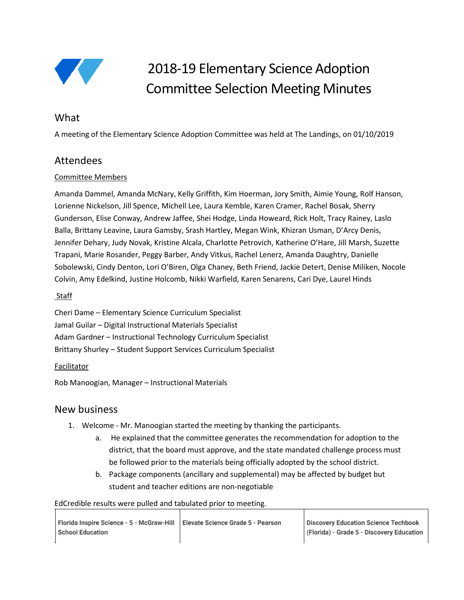

# 2018-19 Elementary Science Adoption Committee Selection Meeting Minutes

## **What**

A meeting of the Elementary Science Adoption Committee was held at The Landings, on 01/10/2019

## Attendees

## Committee Members

Amanda Dammel, Amanda McNary, Kelly Griffith, Kim Hoerman, Jory Smith, Aimie Young, Rolf Hanson, Lorienne Nickelson, Jill Spence, Michell Lee, Laura Kemble, Karen Cramer, Rachel Bosak, Sherry Gunderson, Elise Conway, Andrew Jaffee, Shei Hodge, Linda Howeard, Rick Holt, Tracy Rainey, Laslo Balla, Brittany Leavine, Laura Gamsby, Srash Hartley, Megan Wink, Khizran Usman, D'Arcy Denis, Jennifer Dehary, Judy Novak, Kristine Alcala, Charlotte Petrovich, Katherine O'Hare, Jill Marsh, Suzette Trapani, Marie Rosander, Peggy Barber, Andy Vitkus, Rachel Lenerz, Amanda Daughtry, Danielle Sobolewski, Cindy Denton, Lori O'Biren, Olga Chaney, Beth Friend, Jackie Detert, Denise Miliken, Nocole Colvin, Amy Edelkind, Justine Holcomb, Nikki Warfield, Karen Senarens, Cari Dye, Laurel Hinds

#### Staff

Cheri Dame – Elementary Science Curriculum Specialist Jamal Guilar – Digital Instructional Materials Specialist Adam Gardner – Instructional Technology Curriculum Specialist Brittany Shurley – Student Support Services Curriculum Specialist

### **Facilitator**

Rob Manoogian, Manager – Instructional Materials

## New business

- 1. Welcome Mr. Manoogian started the meeting by thanking the participants.
	- a. He explained that the committee generates the recommendation for adoption to the district, that the board must approve, and the state mandated challenge process must be followed prior to the materials being officially adopted by the school district.
	- b. Package components (ancillary and supplemental) may be affected by budget but student and teacher editions are non-negotiable

EdCredible results were pulled and tabulated prior to meeting.

| Florida Inspire Science - 5 - McGraw-Hill   Elevate Science Grade 5 - Pearson |  |
|-------------------------------------------------------------------------------|--|
| <b>School Education</b>                                                       |  |
|                                                                               |  |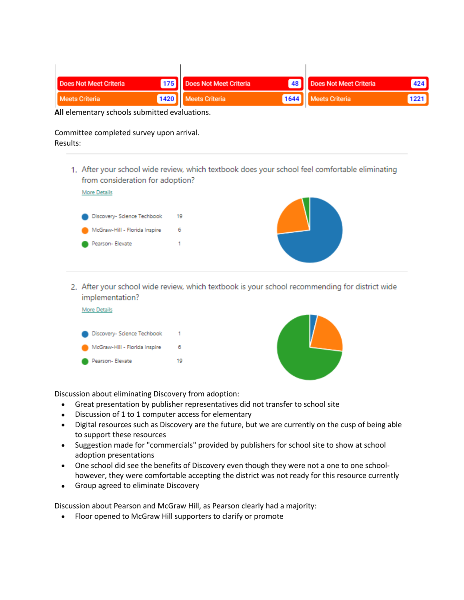| <b>Does Not Meet Criteria</b> | 175 Does Not Meet Criteria | 48 Does Not Meet Criteria | 424  |
|-------------------------------|----------------------------|---------------------------|------|
| <b>Meets Criteria</b>         | 1420   Meets Criteria      | 1644 Meets Criteria       | 1221 |

**All** elementary schools submitted evaluations.

#### Committee completed survey upon arrival. Results:

 $\mathbf{r}$ 

1. After your school wide review, which textbook does your school feel comfortable eliminating from consideration for adoption?



2. After your school wide review, which textbook is your school recommending for district wide implementation?





Discussion about eliminating Discovery from adoption:

- Great presentation by publisher representatives did not transfer to school site
- Discussion of 1 to 1 computer access for elementary
- Digital resources such as Discovery are the future, but we are currently on the cusp of being able to support these resources
- Suggestion made for "commercials" provided by publishers for school site to show at school adoption presentations
- One school did see the benefits of Discovery even though they were not a one to one schoolhowever, they were comfortable accepting the district was not ready for this resource currently
- Group agreed to eliminate Discovery

Discussion about Pearson and McGraw Hill, as Pearson clearly had a majority:

• Floor opened to McGraw Hill supporters to clarify or promote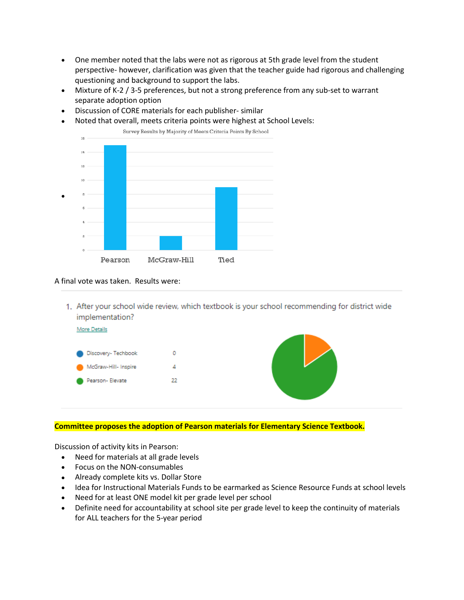- One member noted that the labs were not as rigorous at 5th grade level from the student perspective- however, clarification was given that the teacher guide had rigorous and challenging questioning and background to support the labs.
- Mixture of K-2 / 3-5 preferences, but not a strong preference from any sub-set to warrant separate adoption option
- Discussion of CORE materials for each publisher- similar
- Noted that overall, meets criteria points were highest at School Levels:



#### A final vote was taken. Results were:

1. After your school wide review, which textbook is your school recommending for district wide implementation?



#### **Committee proposes the adoption of Pearson materials for Elementary Science Textbook.**

Discussion of activity kits in Pearson:

- Need for materials at all grade levels
- Focus on the NON-consumables
- Already complete kits vs. Dollar Store
- Idea for Instructional Materials Funds to be earmarked as Science Resource Funds at school levels
- Need for at least ONE model kit per grade level per school
- Definite need for accountability at school site per grade level to keep the continuity of materials for ALL teachers for the 5-year period